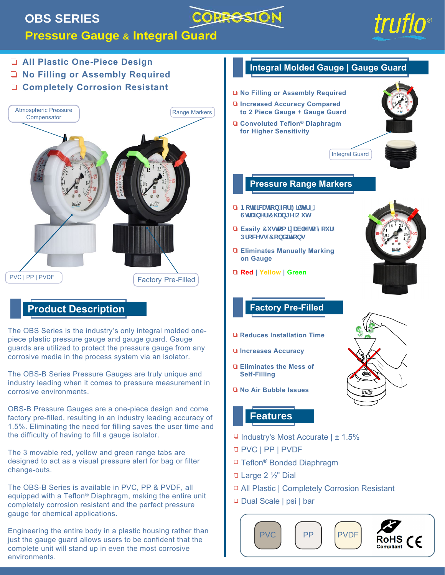## **OBS SERIES**



### **Pressure Gauge & Integral Guard**





Dual Scale | psi | bar



completely corrosion resistant and the perfect pressure

Engineering the entire body in a plastic housing rather than just the gauge guard allows users to be confident that the complete unit will stand up in even the most corrosive

gauge for chemical applications.

environments.